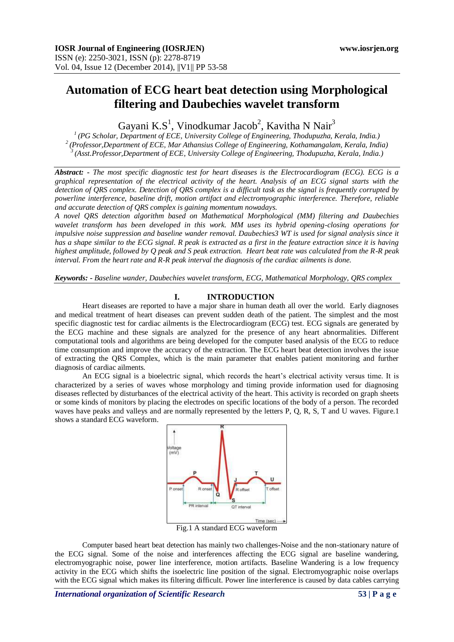# **Automation of ECG heart beat detection using Morphological filtering and Daubechies wavelet transform**

Gayani K.S<sup>1</sup>, Vinodkumar Jacob<sup>2</sup>, Kavitha N Nair<sup>3</sup>

*1 (PG Scholar, Department of ECE, University College of Engineering, Thodupuzha, Kerala, India.) 2 (Professor,Department of ECE, Mar Athansius College of Engineering, Kothamangalam, Kerala, India) <sup>3</sup>(Asst.Professor,Department of ECE, University College of Engineering, Thodupuzha, Kerala, India.)*

*Abstract:* **-** *The most specific diagnostic test for heart diseases is the Electrocardiogram (ECG). ECG is a graphical representation of the electrical activity of the heart. Analysis of an ECG signal starts with the detection of QRS complex. Detection of QRS complex is a difficult task as the signal is frequently corrupted by powerline interference, baseline drift, motion artifact and electromyographic interference. Therefore, reliable and accurate detection of QRS complex is gaining momentum nowadays.* 

*A novel QRS detection algorithm based on Mathematical Morphological (MM) filtering and Daubechies wavelet transform has been developed in this work. MM uses its hybrid opening-closing operations for impulsive noise suppression and baseline wander removal. Daubechies3 WT is used for signal analysis since it has a shape similar to the ECG signal. R peak is extracted as a first in the feature extraction since it is having highest amplitude, followed by Q peak and S peak extraction. Heart beat rate was calculated from the R-R peak interval. From the heart rate and R-R peak interval the diagnosis of the cardiac ailments is done.*

*Keywords: - Baseline wander, Daubechies wavelet transform, ECG, Mathematical Morphology*, *QRS complex*

# **I. INTRODUCTION**

Heart diseases are reported to have a major share in human death all over the world. Early diagnoses and medical treatment of heart diseases can prevent sudden death of the patient. The simplest and the most specific diagnostic test for cardiac ailments is the Electrocardiogram (ECG) test. ECG signals are generated by the ECG machine and these signals are analyzed for the presence of any heart abnormalities. Different computational tools and algorithms are being developed for the computer based analysis of the ECG to reduce time consumption and improve the accuracy of the extraction. The ECG heart beat detection involves the issue of extracting the QRS Complex, which is the main parameter that enables patient monitoring and further diagnosis of cardiac ailments.

An ECG signal is a bioelectric signal, which records the heart"s electrical activity versus time. It is characterized by a series of waves whose morphology and timing provide information used for diagnosing diseases reflected by disturbances of the electrical activity of the heart. This activity is recorded on graph sheets or some kinds of monitors by placing the electrodes on specific locations of the body of a person. The recorded waves have peaks and valleys and are normally represented by the letters P, Q, R, S, T and U waves. Figure.1 shows a standard ECG waveform.



Fig.1 A standard ECG waveform

Computer based heart beat detection has mainly two challenges-Noise and the non-stationary nature of the ECG signal. Some of the noise and interferences affecting the ECG signal are baseline wandering, electromyographic noise, power line interference, motion artifacts. Baseline Wandering is a low frequency activity in the ECG which shifts the isoelectric line position of the signal. Electromyographic noise overlaps with the ECG signal which makes its filtering difficult. Power line interference is caused by data cables carrying

*International organization of Scientific Research* 53 | P a g e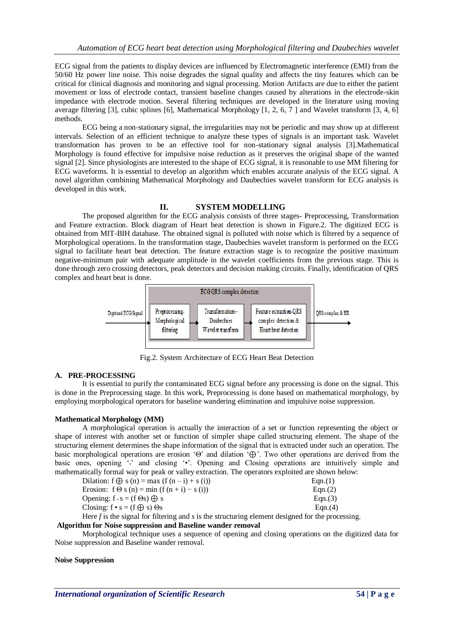ECG signal from the patients to display devices are influenced by Electromagnetic interference (EMI) from the 50/60 Hz power line noise. This noise degrades the signal quality and affects the tiny features which can be critical for clinical diagnosis and monitoring and signal processing. Motion Artifacts are due to either the patient movement or loss of electrode contact, transient baseline changes caused by alterations in the electrode-skin impedance with electrode motion. Several filtering techniques are developed in the literature using moving average filtering [3], cubic splines [6], Mathematical Morphology [1, 2, 6, 7 ] and Wavelet transform [3, 4, 6] methods.

ECG being a non-stationary signal, the irregularities may not be periodic and may show up at different intervals. Selection of an efficient technique to analyze these types of signals is an important task. Wavelet transformation has proven to be an effective tool for non-stationary signal analysis [3].Mathematical Morphology is found effective for impulsive noise reduction as it preserves the original shape of the wanted signal [2]. Since physiologists are interested to the shape of ECG signal, it is reasonable to use MM filtering for ECG waveforms. It is essential to develop an algorithm which enables accurate analysis of the ECG signal. A novel algorithm combining Mathematical Morphology and Daubechies wavelet transform for ECG analysis is developed in this work.

# **II. SYSTEM MODELLING**

The proposed algorithm for the ECG analysis consists of three stages- Preprocessing, Transformation and Feature extraction. Block diagram of Heart beat detection is shown in Figure.2. The digitized ECG is obtained from MIT-BIH database. The obtained signal is polluted with noise which is filtered by a sequence of Morphological operations. In the transformation stage, Daubechies wavelet transform is performed on the ECG signal to facilitate heart beat detection. The feature extraction stage is to recognize the positive maximum negative-minimum pair with adequate amplitude in the wavelet coefficients from the previous stage. This is done through zero crossing detectors, peak detectors and decision making circuits. Finally, identification of QRS complex and heart beat is done.



Fig.2. System Architecture of ECG Heart Beat Detection

# **A. PRE-PROCESSING**

It is essential to purify the contaminated ECG signal before any processing is done on the signal. This is done in the Preprocessing stage. In this work, Preprocessing is done based on mathematical morphology, by employing morphological operators for baseline wandering elimination and impulsive noise suppression.

# **Mathematical Morphology (MM)**

A morphological operation is actually the interaction of a set or function representing the object or shape of interest with another set or function of simpler shape called structuring element. The shape of the structuring element determines the shape information of the signal that is extracted under such an operation. The basic morphological operations are erosion "Θ" and dilation "⊕". Two other operations are derived from the basic ones, opening "; and closing "•". Opening and Closing operations are intuitively simple and mathematically formal way for peak or valley extraction. The operators exploited are shown below:

| Dilation: $f \bigoplus s(n) = max (f(n - i) + s(i))$                                               | Eqn.(1) |
|----------------------------------------------------------------------------------------------------|---------|
| Erosion: $f \Theta s(n) = min (f (n + i) - s (i))$                                                 | Eqn.(2) |
| Opening: $f \circ s = (f \Theta s) \oplus s$                                                       | Eqn.(3) |
| Closing: $f \cdot s = (f \oplus s) \Theta s$                                                       | Ean(4)  |
| Utana Cia de caiso al Can Citanina con desirado e sencatorina a dancante da ciencid. Can de concer |         |

Here *f* is the signal for filtering and *s* is the structuring element designed for the processing.

## **Algorithm for Noise suppression and Baseline wander removal**

Morphological technique uses a sequence of opening and closing operations on the digitized data for Noise suppression and Baseline wander removal.

#### **Noise Suppression**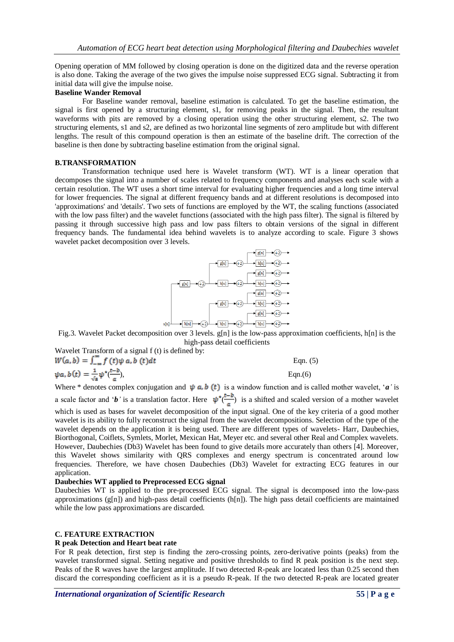Opening operation of MM followed by closing operation is done on the digitized data and the reverse operation is also done. Taking the average of the two gives the impulse noise suppressed ECG signal. Subtracting it from initial data will give the impulse noise.

# **Baseline Wander Removal**

For Baseline wander removal, baseline estimation is calculated. To get the baseline estimation, the signal is first opened by a structuring element, s1, for removing peaks in the signal. Then, the resultant waveforms with pits are removed by a closing operation using the other structuring element, s2. The two structuring elements, s1 and s2, are defined as two horizontal line segments of zero amplitude but with different lengths. The result of this compound operation is then an estimate of the baseline drift. The correction of the baseline is then done by subtracting baseline estimation from the original signal.

### **B.TRANSFORMATION**

Transformation technique used here is Wavelet transform (WT). WT is a linear operation that decomposes the signal into a number of scales related to frequency components and analyses each scale with a certain resolution. The WT uses a short time interval for evaluating higher frequencies and a long time interval for lower frequencies. The signal at different frequency bands and at different resolutions is decomposed into 'approximations' and 'details'. Two sets of functions are employed by the WT, the scaling functions (associated with the low pass filter) and the wavelet functions (associated with the high pass filter). The signal is filtered by passing it through successive high pass and low pass filters to obtain versions of the signal in different frequency bands. The fundamental idea behind wavelets is to analyze according to scale. Figure 3 shows wavelet packet decomposition over 3 levels.



high-pass detail coefficients

Wavelet Transform of a signal f (t) is defined by:

$$
W(a, b) = \int_{-\infty}^{\infty} f(t) \psi \, a, b(t) dt
$$
 Eqn. (5)  
\n
$$
\psi a, b(t) = \frac{1}{\sqrt{a}} \psi^*(\frac{t - b}{a}),
$$
 Eqn. (6)

Where \* denotes complex conjugation and  $\psi$   $\alpha$ ,  $\dot{b}$  (*t*) is a window function and is called mother wavelet, '*a*' is a scale factor and '*b*<sup>'</sup> is a translation factor. Here  $\psi^*(\frac{t-b}{a})$  is a shifted and scaled version of a mother wavelet

which is used as bases for wavelet decomposition of the input signal. One of the key criteria of a good mother wavelet is its ability to fully reconstruct the signal from the wavelet decompositions. Selection of the type of the wavelet depends on the application it is being used. There are different types of wavelets- Harr, Daubechies, Biorthogonal, Coiflets, Symlets, Morlet, Mexican Hat, Meyer etc. and several other Real and Complex wavelets. However, Daubechies (Db3) Wavelet has been found to give details more accurately than others [4]. Moreover, this Wavelet shows similarity with QRS complexes and energy spectrum is concentrated around low frequencies. Therefore, we have chosen Daubechies (Db3) Wavelet for extracting ECG features in our application.

#### **Daubechies WT applied to Preprocessed ECG signal**

Daubechies WT is applied to the pre-processed ECG signal. The signal is decomposed into the low-pass approximations  $(g[n])$  and high-pass detail coefficients  $(h[n])$ . The high pass detail coefficients are maintained while the low pass approximations are discarded.

#### **C. FEATURE EXTRACTION**

#### **R peak Detection and Heart beat rate**

For R peak detection, first step is finding the zero-crossing points, zero-derivative points (peaks) from the wavelet transformed signal. Setting negative and positive thresholds to find R peak position is the next step. Peaks of the R waves have the largest amplitude. If two detected R-peak are located less than 0.25 second then discard the corresponding coefficient as it is a pseudo R-peak. If the two detected R-peak are located greater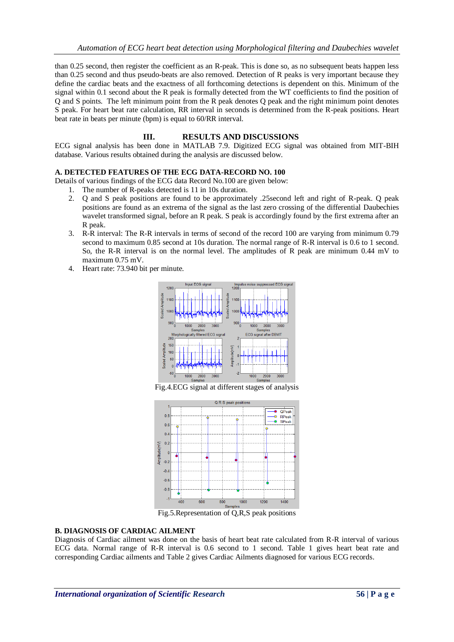than 0.25 second, then register the coefficient as an R-peak. This is done so, as no subsequent beats happen less than 0.25 second and thus pseudo-beats are also removed. Detection of R peaks is very important because they define the cardiac beats and the exactness of all forthcoming detections is dependent on this. Minimum of the signal within 0.1 second about the R peak is formally detected from the WT coefficients to find the position of Q and S points. The left minimum point from the R peak denotes Q peak and the right minimum point denotes S peak. For heart beat rate calculation, RR interval in seconds is determined from the R-peak positions. Heart beat rate in beats per minute (bpm) is equal to 60/RR interval.

# **III. RESULTS AND DISCUSSIONS**

ECG signal analysis has been done in MATLAB 7.9. Digitized ECG signal was obtained from MIT-BIH database. Various results obtained during the analysis are discussed below.

# **A. DETECTED FEATURES OF THE ECG DATA-RECORD NO. 100**

Details of various findings of the ECG data Record No.100 are given below:

- 1. The number of R-peaks detected is 11 in 10s duration.
- 2. Q and S peak positions are found to be approximately .25second left and right of R-peak. Q peak positions are found as an extrema of the signal as the last zero crossing of the differential Daubechies wavelet transformed signal, before an R peak. S peak is accordingly found by the first extrema after an R peak.
- 3. R-R interval: The R-R intervals in terms of second of the record 100 are varying from minimum 0.79 second to maximum 0.85 second at 10s duration. The normal range of R-R interval is 0.6 to 1 second. So, the R-R interval is on the normal level. The amplitudes of R peak are minimum 0.44 mV to maximum 0.75 mV.
- 4. Heart rate: 73.940 bit per minute.



Fig.4.ECG signal at different stages of analysis



Fig.5.Representation of Q,R,S peak positions

# **B. DIAGNOSIS OF CARDIAC AILMENT**

Diagnosis of Cardiac ailment was done on the basis of heart beat rate calculated from R-R interval of various ECG data. Normal range of R-R interval is 0.6 second to 1 second. Table 1 gives heart beat rate and corresponding Cardiac ailments and Table 2 gives Cardiac Ailments diagnosed for various ECG records.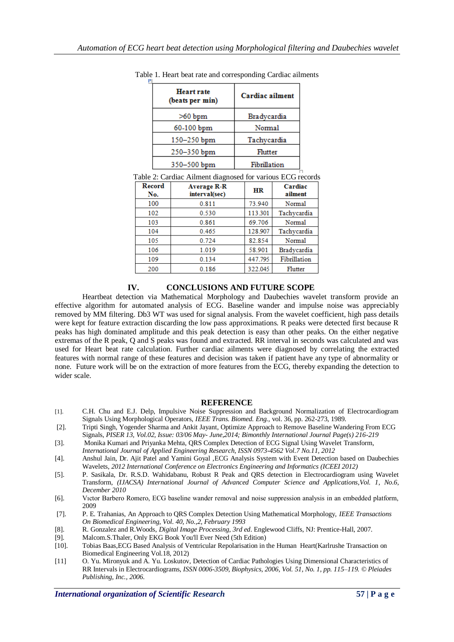| <b>Heart rate</b><br>(beats per min) | Cardiac ailment |
|--------------------------------------|-----------------|
| $>60$ bpm                            | Bradycardia     |
| 60-100 bpm                           | Normal          |
| 150-250 bpm                          | Tachycardia     |
| 250-350 bpm                          | Flutter         |
| 350-500 bpm                          | Fibrillation    |
|                                      |                 |

Table 1. Heart beat rate and corresponding Cardiac ailments

| Record<br>No. | <b>Average R-R</b><br>interval(sec) | <b>HR</b> | Cardiac<br>ailment |
|---------------|-------------------------------------|-----------|--------------------|
| 100           | 0.811                               | 73.940    | Normal             |
| 102           | 0.530                               | 113.301   | Tachycardia        |
| 103           | 0.861                               | 69.706    | Normal             |
| 104           | 0.465                               | 128.907   | Tachycardia        |
| 105           | 0.724                               | 82.854    | Normal             |
| 106           | 1.019                               | 58.901    | Bradycardia        |
| 109           | 0.134                               | 447.795   | Fibrillation       |
| 200           | 0.186                               | 322.045   | Flutter            |

# **IV. CONCLUSIONS AND FUTURE SCOPE**

Heartbeat detection via Mathematical Morphology and Daubechies wavelet transform provide an effective algorithm for automated analysis of ECG. Baseline wander and impulse noise was appreciably removed by MM filtering. Db3 WT was used for signal analysis. From the wavelet coefficient, high pass details were kept for feature extraction discarding the low pass approximations. R peaks were detected first because R peaks has high dominated amplitude and this peak detection is easy than other peaks. On the either negative extremas of the R peak, Q and S peaks was found and extracted. RR interval in seconds was calculated and was used for Heart beat rate calculation. Further cardiac ailments were diagnosed by correlating the extracted features with normal range of these features and decision was taken if patient have any type of abnormality or none. Future work will be on the extraction of more features from the ECG, thereby expanding the detection to wider scale.

# **REFERENCE**

- [1]. C.H. Chu and E.J. Delp, Impulsive Noise Suppression and Background Normalization of Electrocardiogram Signals Using Morphological Operators, *IEEE Trans. Biomed. Eng.,* vol. 36, pp. 262-273, 1989.
- [2]. Tripti Singh, Yogender Sharma and Ankit Jayant, Optimize Approach to Remove Baseline Wandering From ECG
- Signals, *PISER 13, Vol.02, Issue: 03/06 May- June,2014; Bimonthly International Journal Page(s) 216-219* [3]. Monika Kumari and Priyanka Mehta, QRS Complex Detection of ECG Signal Using Wavelet Transform,
- *International Journal of Applied Engineering Research, ISSN 0973-4562 Vol.7 No.11, 2012*
- [4]. Anshul Jain, Dr. Ajit Patel and Yamini Goyal ,ECG Analysis System with Event Detection based on Daubechies Wavelets, *2012 International Conference on Electronics Engineering and Informatics (ICEEI 2012)*
- [5]. P. Sasikala, Dr. R.S.D. Wahidabanu, Robust R Peak and QRS detection in Electrocardiogram using Wavelet Transform, *(IJACSA) International Journal of Advanced Computer Science and Applications,Vol. 1, No.6, December 2010*
- [6]. Vıctor Barbero Romero, ECG baseline wander removal and noise suppression analysis in an embedded platform, 2009
- [7]. P. E. Trahanias, An Approach to QRS Complex Detection Using Mathematical Morphology, *IEEE Transactions On Biomedical Engineering, Vol. 40, No.,2, February 1993*
- [8]. R. Gonzalez and R.Woods, *Digital Image Processing*, *3rd ed*. Englewood Cliffs, NJ: Prentice-Hall, 2007.
- [9]. Malcom.S.Thaler, Only EKG Book You'll Ever Need (5th Edition) [10]. Tobias Baas, ECG Based Analysis of Ventricular Repolarisation in
- [10]. Tobias Baas,ECG Based Analysis of Ventricular Repolarisation in the Human Heart(Karlrushe Transaction on Biomedical Engineering Vol.18, 2012)
- [11] O. Yu. Mironyuk and A. Yu. Loskutov, Detection of Cardiac Pathologies Using Dimensional Characteristics of RR Intervals in Electrocardiograms, *ISSN 0006-3509, Biophysics, 2006, Vol. 51, No. 1, pp. 115–119. © Pleiades Publishing, Inc., 2006.*